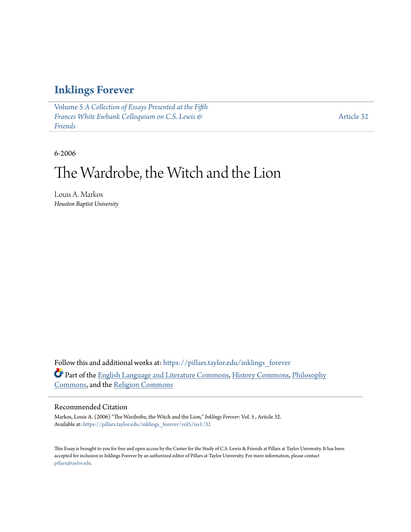### **[Inklings Forever](https://pillars.taylor.edu/inklings_forever?utm_source=pillars.taylor.edu%2Finklings_forever%2Fvol5%2Fiss1%2F32&utm_medium=PDF&utm_campaign=PDFCoverPages)**

Volume 5 *[A Collection of Essays Presented at the Fifth](https://pillars.taylor.edu/inklings_forever/vol5?utm_source=pillars.taylor.edu%2Finklings_forever%2Fvol5%2Fiss1%2F32&utm_medium=PDF&utm_campaign=PDFCoverPages) [Frances White Ewbank Colloquium on C.S. Lewis &](https://pillars.taylor.edu/inklings_forever/vol5?utm_source=pillars.taylor.edu%2Finklings_forever%2Fvol5%2Fiss1%2F32&utm_medium=PDF&utm_campaign=PDFCoverPages) [Friends](https://pillars.taylor.edu/inklings_forever/vol5?utm_source=pillars.taylor.edu%2Finklings_forever%2Fvol5%2Fiss1%2F32&utm_medium=PDF&utm_campaign=PDFCoverPages)*

[Article 32](https://pillars.taylor.edu/inklings_forever/vol5/iss1/32?utm_source=pillars.taylor.edu%2Finklings_forever%2Fvol5%2Fiss1%2F32&utm_medium=PDF&utm_campaign=PDFCoverPages)

6-2006

# The Wardrobe, the Witch and the Lion

Louis A. Markos *Houston Baptist University*

Follow this and additional works at: [https://pillars.taylor.edu/inklings\\_forever](https://pillars.taylor.edu/inklings_forever?utm_source=pillars.taylor.edu%2Finklings_forever%2Fvol5%2Fiss1%2F32&utm_medium=PDF&utm_campaign=PDFCoverPages) Part of the [English Language and Literature Commons](http://network.bepress.com/hgg/discipline/455?utm_source=pillars.taylor.edu%2Finklings_forever%2Fvol5%2Fiss1%2F32&utm_medium=PDF&utm_campaign=PDFCoverPages), [History Commons,](http://network.bepress.com/hgg/discipline/489?utm_source=pillars.taylor.edu%2Finklings_forever%2Fvol5%2Fiss1%2F32&utm_medium=PDF&utm_campaign=PDFCoverPages) [Philosophy](http://network.bepress.com/hgg/discipline/525?utm_source=pillars.taylor.edu%2Finklings_forever%2Fvol5%2Fiss1%2F32&utm_medium=PDF&utm_campaign=PDFCoverPages) [Commons,](http://network.bepress.com/hgg/discipline/525?utm_source=pillars.taylor.edu%2Finklings_forever%2Fvol5%2Fiss1%2F32&utm_medium=PDF&utm_campaign=PDFCoverPages) and the [Religion Commons](http://network.bepress.com/hgg/discipline/538?utm_source=pillars.taylor.edu%2Finklings_forever%2Fvol5%2Fiss1%2F32&utm_medium=PDF&utm_campaign=PDFCoverPages)

### Recommended Citation

Markos, Louis A. (2006) "The Wardrobe, the Witch and the Lion," *Inklings Forever*: Vol. 5 , Article 32. Available at: [https://pillars.taylor.edu/inklings\\_forever/vol5/iss1/32](https://pillars.taylor.edu/inklings_forever/vol5/iss1/32?utm_source=pillars.taylor.edu%2Finklings_forever%2Fvol5%2Fiss1%2F32&utm_medium=PDF&utm_campaign=PDFCoverPages)

This Essay is brought to you for free and open access by the Center for the Study of C.S. Lewis & Friends at Pillars at Taylor University. It has been accepted for inclusion in Inklings Forever by an authorized editor of Pillars at Taylor University. For more information, please contact [pillars@taylor.edu.](mailto:pillars@taylor.edu)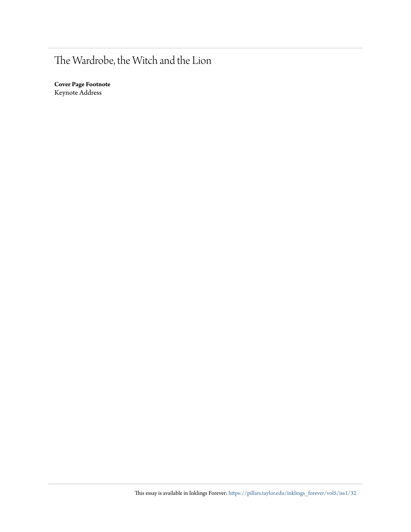# The Wardrobe, the Witch and the Lion

**Cover Page Footnote** Keynote Address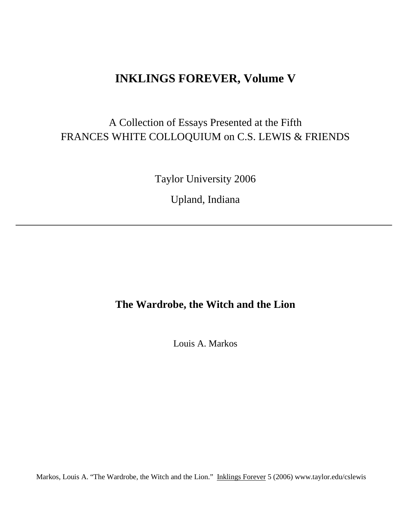### **INKLINGS FOREVER, Volume V**

## A Collection of Essays Presented at the Fifth FRANCES WHITE COLLOQUIUM on C.S. LEWIS & FRIENDS

Taylor University 2006

Upland, Indiana

# **The Wardrobe, the Witch and the Lion**

Louis A. Markos

Markos, Louis A. "The Wardrobe, the Witch and the Lion." Inklings Forever 5 (2006) www.taylor.edu/cslewis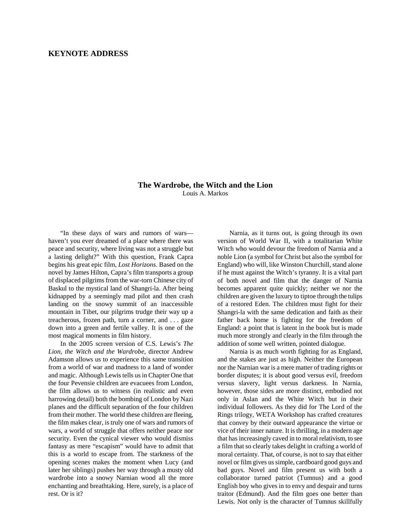#### **KEYNOTE ADDRESS**

#### **The Wardrobe, the Witch and the Lion** Louis A. Markos

"In these days of wars and rumors of wars haven't you ever dreamed of a place where there was peace and security, where living was not a struggle but a lasting delight?" With this question, Frank Capra begins his great epic film, *Lost Horizons*. Based on the novel by James Hilton, Capra's film transports a group of displaced pilgrims from the war-torn Chinese city of Baskul to the mystical land of Shangri-la. After being kidnapped by a seemingly mad pilot and then crash landing on the snowy summit of an inaccessible mountain in Tibet, our pilgrims trudge their way up a treacherous, frozen path, turn a corner, and . . . gaze down into a green and fertile valley. It is one of the most magical moments in film history.

In the 2005 screen version of C.S. Lewis's *The Lion, the Witch and the Wardrobe*, director Andrew Adamson allows us to experience this same transition from a world of war and madness to a land of wonder and magic. Although Lewis tells us in Chapter One that the four Pevensie children are evacuees from London, the film allows us to witness (in realistic and even harrowing detail) both the bombing of London by Nazi planes and the difficult separation of the four children from their mother. The world these children are fleeing, the film makes clear, is truly one of wars and rumors of wars, a world of struggle that offers neither peace nor security. Even the cynical viewer who would dismiss fantasy as mere "escapism" would have to admit that this is a world to escape from. The starkness of the opening scenes makes the moment when Lucy (and later her siblings) pushes her way through a musty old wardrobe into a snowy Narnian wood all the more enchanting and breathtaking. Here, surely, is a place of rest. Or is it?

Narnia, as it turns out, is going through its own version of World War II, with a totalitarian White Witch who would devour the freedom of Narnia and a noble Lion (a symbol for Christ but also the symbol for England) who will, like Winston Churchill, stand alone if he must against the Witch's tyranny. It is a vital part of both novel and film that the danger of Narnia becomes apparent quite quickly; neither we nor the children are given the luxury to tiptoe through the tulips of a restored Eden. The children must fight for their Shangri-la with the same dedication and faith as their father back home is fighting for the freedom of England: a point that is latent in the book but is made much more strongly and clearly in the film through the addition of some well written, pointed dialogue.

Narnia is as much worth fighting for as England, and the stakes are just as high. Neither the European nor the Narnian war is a mere matter of trading rights or border disputes; it is about good versus evil, freedom versus slavery, light versus darkness. In Narnia, however, those sides are more distinct, embodied not only in Aslan and the White Witch but in their individual followers. As they did for The Lord of the Rings trilogy, WETA Workshop has crafted creatures that convey by their outward appearance the virtue or vice of their inner nature. It is thrilling, in a modern age that has increasingly caved in to moral relativism, to see a film that so clearly takes delight in crafting a world of moral certainty. That, of course, is not to say that either novel or film gives us simple, cardboard good guys and bad guys. Novel and film present us with both a collaborator turned patriot (Tumnus) and a good English boy who gives in to envy and despair and turns traitor (Edmund). And the film goes one better than Lewis. Not only is the character of Tumnus skillfully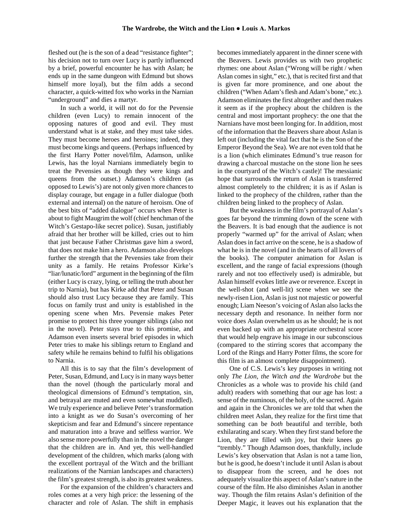fleshed out (he is the son of a dead "resistance fighter"; his decision not to turn over Lucy is partly influenced by a brief, powerful encounter he has with Aslan; he ends up in the same dungeon with Edmund but shows himself more loyal), but the film adds a second character, a quick-witted fox who works in the Narnian "underground" and dies a martyr.

In such a world, it will not do for the Pevensie children (even Lucy) to remain innocent of the opposing natures of good and evil. They must understand what is at stake, and they must take sides. They must become heroes and heroines; indeed, they must become kings and queens. (Perhaps influenced by the first Harry Potter novel/film, Adamson, unlike Lewis, has the loyal Narnians immediately begin to treat the Pevensies as though they were kings and queens from the outset.) Adamson's children (as opposed to Lewis's) are not only given more chances to display courage, but engage in a fuller dialogue (both external and internal) on the nature of heroism. One of the best bits of "added dialogue" occurs when Peter is about to fight Maugrim the wolf (chief henchman of the Witch's Gestapo-like secret police). Susan, justifiably afraid that her brother will be killed, cries out to him that just because Father Christmas gave him a sword, that does not make him a hero. Adamson also develops further the strength that the Pevensies take from their unity as a family. He retains Professor Kirke's "liar/lunatic/lord" argument in the beginning of the film (either Lucy is crazy, lying, or telling the truth about her trip to Narnia), but has Kirke add that Peter and Susan should also trust Lucy because they are family. This focus on family trust and unity is established in the opening scene when Mrs. Pevensie makes Peter promise to protect his three younger siblings (also not in the novel). Peter stays true to this promise, and Adamson even inserts several brief episodes in which Peter tries to make his siblings return to England and safety while he remains behind to fulfil his obligations to Narnia.

All this is to say that the film's development of Peter, Susan, Edmund, and Lucy is in many ways better than the novel (though the particularly moral and theological dimensions of Edmund's temptation, sin, and betrayal are muted and even somewhat muddled). We truly experience and believe Peter's transformation into a knight as we do Susan's overcoming of her skepticism and fear and Edmund's sincere repentance and maturation into a brave and selfless warrior. We also sense more powerfully than in the novel the danger that the children are in. And yet, this well-handled development of the children, which marks (along with the excellent portrayal of the Witch and the brilliant realizations of the Narnian landscapes and characters) the film's greatest strength, is also its greatest weakness.

For the expansion of the children's characters and roles comes at a very high price: the lessening of the character and role of Aslan. The shift in emphasis becomes immediately apparent in the dinner scene with the Beavers. Lewis provides us with two prophetic rhymes: one about Aslan ("Wrong will be right / when Aslan comes in sight," etc.), that is recited first and that is given far more prominence, and one about the children ("When Adam's flesh and Adam's bone," etc.). Adamson eliminates the first altogether and then makes it seem as if the prophecy about the children is the central and most important prophecy: the one that the Narnians have most been longing for. In addition, most of the information that the Beavers share about Aslan is left out (including the vital fact that he is the Son of the Emperor Beyond the Sea). We are not even told that he is a lion (which eliminates Edmund's true reason for drawing a charcoal mustache on the stone lion he sees in the courtyard of the Witch's castle)! The messianic hope that surrounds the return of Aslan is transferred almost completely to the children; it is as if Aslan is linked to the prophecy of the children, rather than the children being linked to the prophecy of Aslan.

But the weakness in the film's portrayal of Aslan's goes far beyond the trimming down of the scene with the Beavers. It is bad enough that the audience is not properly "warmed up" for the arrival of Aslan; when Aslan does in fact arrive on the scene, he is a shadow of what he is in the novel (and in the hearts of all lovers of the books). The computer animation for Aslan is excellent, and the range of facial expressions (though rarely and not too effectively used) is admirable, but Aslan himself evokes little awe or reverence. Except in the well-shot (and well-lit) scene when we see the newly-risen Lion, Aslan is just not majestic or powerful enough; Liam Neeson's voicing of Aslan also lacks the necessary depth and resonance. In neither form nor voice does Aslan overwhelm us as he should; he is not even backed up with an appropriate orchestral score that would help engrave his image in our subconscious (compared to the stirring scores that accompany the Lord of the Rings and Harry Potter films, the score for this film is an almost complete disappointment).

One of C.S. Lewis's key purposes in writing not only *The Lion, the Witch and the Wardrobe* but the Chronicles as a whole was to provide his child (and adult) readers with something that our age has lost: a sense of the numinous, of the holy, of the sacred. Again and again in the Chronicles we are told that when the children meet Aslan, they realize for the first time that something can be *both* beautiful and terrible, both exhilarating and scary. When they first stand before the Lion, they are filled with joy, but their knees go "trembly." Though Adamson does, thankfully, include Lewis's key observation that Aslan is not a tame lion, but he is good, he doesn't include it until Aslan is about to disappear from the screen, and he does not adequately visualize this aspect of Aslan's nature in the course of the film. He also diminishes Aslan in another way. Though the film retains Aslan's definition of the Deeper Magic, it leaves out his explanation that the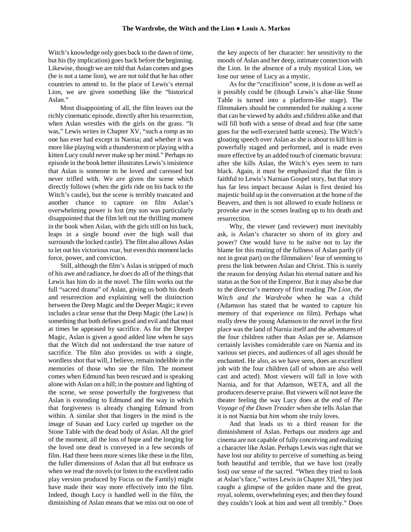Witch's knowledge only goes back to the dawn of time, but his (by implication) goes back before the beginning. Likewise, though we are told that Aslan comes and goes (he is not a tame lion), we are not told that he has other countries to attend to. In the place of Lewis's eternal Lion, we are given something like the "historical Aslan."

Most disappointing of all, the film leaves out the richly cinematic episode, directly after his resurrection, when Aslan wrestles with the girls on the grass. "It was," Lewis writes in Chapter XV, "such a romp as no one has ever had except in Narnia; and whether it was more like playing with a thunderstorm or playing with a kitten Lucy could never make up her mind." Perhaps no episode in the book better illustrates Lewis's insistence that Aslan is someone to be loved and caressed but never trifled with. We *are* given the scene which directly follows (when the girls ride on his back to the Witch's castle), but the scene is terribly truncated and another chance to capture on film Aslan's overwhelming power is lost (my son was particularly disappointed that the film left out the thrilling moment in the book when Aslan, with the girls still on his back, leaps in a single bound over the high wall that surrounds the locked castle). The film also allows Aslan to let out his victorious roar, but even this moment lacks force, power, and conviction.

Still, although the film's Aslan is stripped of much of his awe and radiance, he *does* do all of the things that Lewis has him do in the novel. The film works out the full "sacred drama" of Aslan, giving us both his death and resurrection and explaining well the distinction between the Deep Magic and the Deeper Magic; it even includes a clear sense that the Deep Magic (the Law) is something that both defines good and evil and that must at times be appeased by sacrifice. As for the Deeper Magic, Aslan is given a good added line when he says that the Witch did not understand the true nature of sacrifice. The film also provides us with a single, wordless shot that will, I believe, remain indelible in the memories of those who see the film. The moment comes when Edmund has been rescued and is speaking alone with Aslan on a hill; in the posture and lighting of the scene, we sense powerfully the forgiveness that Aslan is extending to Edmund and the way in which that forgiveness is already changing Edmund from within. A similar shot that lingers in the mind is the image of Susan and Lucy curled up together on the Stone Table with the dead body of Aslan. All the grief of the moment, all the loss of hope and the longing for the loved one dead is conveyed in a few seconds of film. Had there been more scenes like these in the film, the fuller dimensions of Aslan that all but embrace us when we read the novels (or listen to the excellent radio play version produced by Focus on the Family) might have made their way more effectively into the film. Indeed, though Lucy *is* handled well in the film, the diminishing of Aslan means that we miss out on one of

the key aspects of her character: her sensitivity to the moods of Aslan and her deep, intimate connection with the Lion. In the absence of a truly mystical Lion, we lose our sense of Lucy as a mystic.

As for the "crucifixion" scene, it is done as well as it possibly could be (though Lewis's altar-like Stone Table is turned into a platform-like stage). The filmmakers should be commended for making a scene that can be viewed by adults and children alike and that will fill both with a sense of dread and fear (the same goes for the well-executed battle scenes). The Witch's gloating speech over Aslan as she is about to kill him is powerfully staged and performed, and is made even more effective by an added touch of cinematic bravura: after she kills Aslan, the Witch's eyes seem to turn black. Again, it must be emphasized that the film is faithful to Lewis's Narnian Gospel story, but that story has far less impact because Aslan is first denied his majestic build up in the conversation at the home of the Beavers, and then is not allowed to exude holiness or provoke awe in the scenes leading up to his death and resurrection.

Why, the viewer (and reviewer) must inevitably ask, is Aslan's character so shorn of its glory and power? One would have to be naïve not to lay the blame for this muting of the fullness of Aslan partly (if not in great part) on the filmmakers' fear of seeming to press the link between Aslan and Christ. This is surely the reason for denying Aslan his eternal nature and his status as the Son of the Emperor. But it may also be due to the director's memory of first reading *The Lion, the Witch and the Wardrobe* when he was a child (Adamson has stated that he wanted to capture his memory of that experience on film). Perhaps what really drew the young Adamson to the novel in the first place was the land of Narnia itself and the adventures of the four children rather than Aslan per se. Adamson certainly lavishes considerable care on Narnia and its various set pieces, and audiences of all ages should be enchanted. He also, as we have seen, does an excellent job with the four children (all of whom are also well cast and acted). Most viewers will fall in love with Narnia, and for that Adamson, WETA, and all the producers deserve praise. But viewers will not leave the theater feeling the way Lucy does at the end of *The Voyage of the Dawn Treader* when she tells Aslan that it is not Narnia but *him* whom she truly loves.

And that leads us to a third reason for the diminishment of Aslan. Perhaps our modern age and cinema are not capable of fully conceiving and realizing a character like Aslan. Perhaps Lewis was right that we have lost our ability to perceive of something as being both beautiful and terrible, that we have lost (really lost) our sense of the sacred. "When they tried to look at Aslan's face," writes Lewis in Chapter XII, "they just caught a glimpse of the golden mane and the great, royal, solemn, overwhelming eyes; and then they found they couldn't look at him and went all trembly." Does